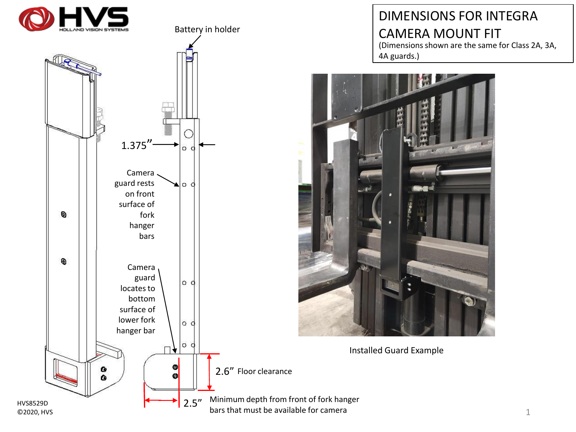



Battery in holder

## DIMENSIONS FOR INTEGRA CAMERA MOUNT FIT

(Dimensions shown are the same for Class 2A, 3A, 4A guards.)



Installed Guard Example